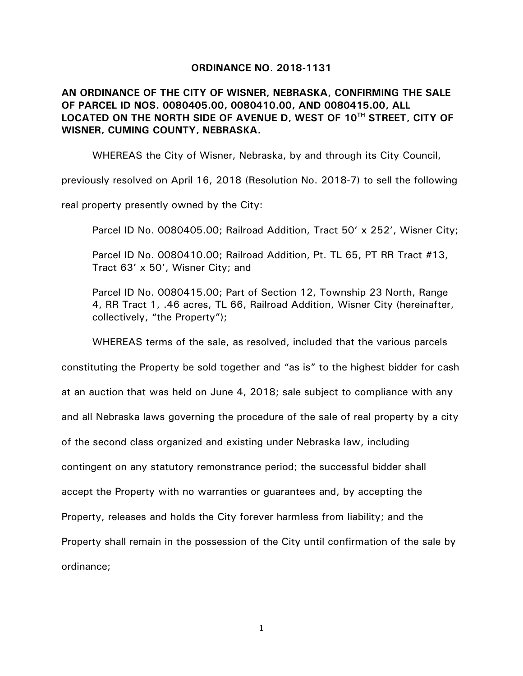## **ORDINANCE NO. 2018-1131**

**AN ORDINANCE OF THE CITY OF WISNER, NEBRASKA, CONFIRMING THE SALE OF PARCEL ID NOS. 0080405.00, 0080410.00, AND 0080415.00, ALL LOCATED ON THE NORTH SIDE OF AVENUE D, WEST OF 10TH STREET, CITY OF WISNER, CUMING COUNTY, NEBRASKA.** 

WHEREAS the City of Wisner, Nebraska, by and through its City Council,

previously resolved on April 16, 2018 (Resolution No. 2018-7) to sell the following

real property presently owned by the City:

Parcel ID No. 0080405.00; Railroad Addition, Tract 50' x 252', Wisner City;

Parcel ID No. 0080410.00; Railroad Addition, Pt. TL 65, PT RR Tract #13, Tract 63' x 50', Wisner City; and

Parcel ID No. 0080415.00; Part of Section 12, Township 23 North, Range 4, RR Tract 1, .46 acres, TL 66, Railroad Addition, Wisner City (hereinafter, collectively, "the Property");

WHEREAS terms of the sale, as resolved, included that the various parcels

constituting the Property be sold together and "as is" to the highest bidder for cash at an auction that was held on June 4, 2018; sale subject to compliance with any and all Nebraska laws governing the procedure of the sale of real property by a city of the second class organized and existing under Nebraska law, including contingent on any statutory remonstrance period; the successful bidder shall accept the Property with no warranties or guarantees and, by accepting the Property, releases and holds the City forever harmless from liability; and the Property shall remain in the possession of the City until confirmation of the sale by ordinance;

1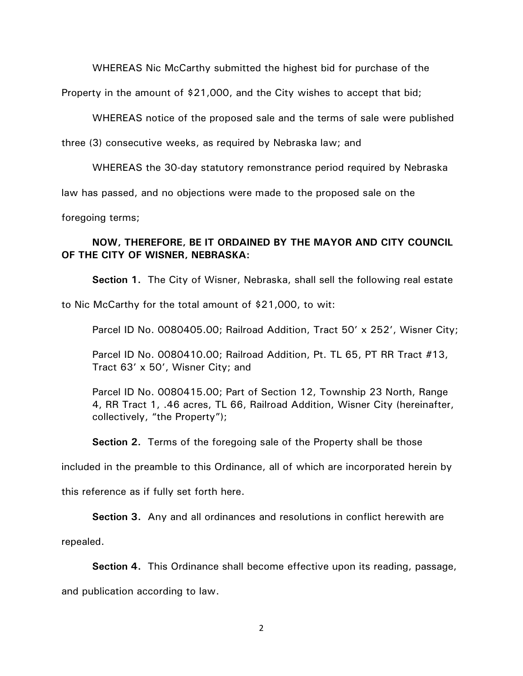WHEREAS Nic McCarthy submitted the highest bid for purchase of the

Property in the amount of \$21,000, and the City wishes to accept that bid;

WHEREAS notice of the proposed sale and the terms of sale were published

three (3) consecutive weeks, as required by Nebraska law; and

WHEREAS the 30-day statutory remonstrance period required by Nebraska

law has passed, and no objections were made to the proposed sale on the

foregoing terms;

## **NOW, THEREFORE, BE IT ORDAINED BY THE MAYOR AND CITY COUNCIL OF THE CITY OF WISNER, NEBRASKA:**

**Section 1.** The City of Wisner, Nebraska, shall sell the following real estate

to Nic McCarthy for the total amount of \$21,000, to wit:

Parcel ID No. 0080405.00; Railroad Addition, Tract 50' x 252', Wisner City;

Parcel ID No. 0080410.00; Railroad Addition, Pt. TL 65, PT RR Tract #13, Tract 63' x 50', Wisner City; and

Parcel ID No. 0080415.00; Part of Section 12, Township 23 North, Range 4, RR Tract 1, .46 acres, TL 66, Railroad Addition, Wisner City (hereinafter, collectively, "the Property");

**Section 2.** Terms of the foregoing sale of the Property shall be those

included in the preamble to this Ordinance, all of which are incorporated herein by

this reference as if fully set forth here.

**Section 3.** Any and all ordinances and resolutions in conflict herewith are

repealed.

**Section 4.** This Ordinance shall become effective upon its reading, passage,

and publication according to law.